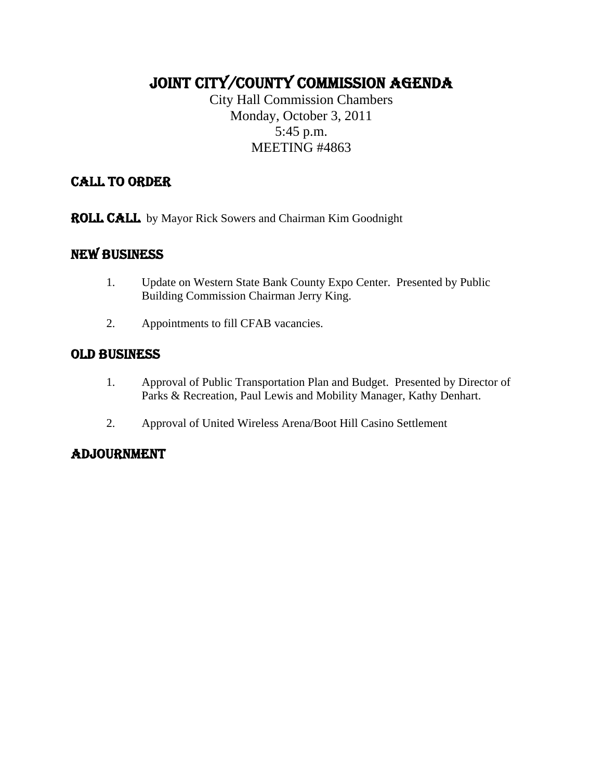### JOINT CITY/COUNTY COMMISSION AGENDA

City Hall Commission Chambers Monday, October 3, 2011 5:45 p.m. MEETING #4863

### CALL TO ORDER

ROLL CALL by Mayor Rick Sowers and Chairman Kim Goodnight

### NEW BUSINESS

- 1. Update on Western State Bank County Expo Center. Presented by Public Building Commission Chairman Jerry King.
- 2. Appointments to fill CFAB vacancies.

### OLD BUSINESS

- 1. Approval of Public Transportation Plan and Budget. Presented by Director of Parks & Recreation, Paul Lewis and Mobility Manager, Kathy Denhart.
- 2. Approval of United Wireless Arena/Boot Hill Casino Settlement

### ADJOURNMENT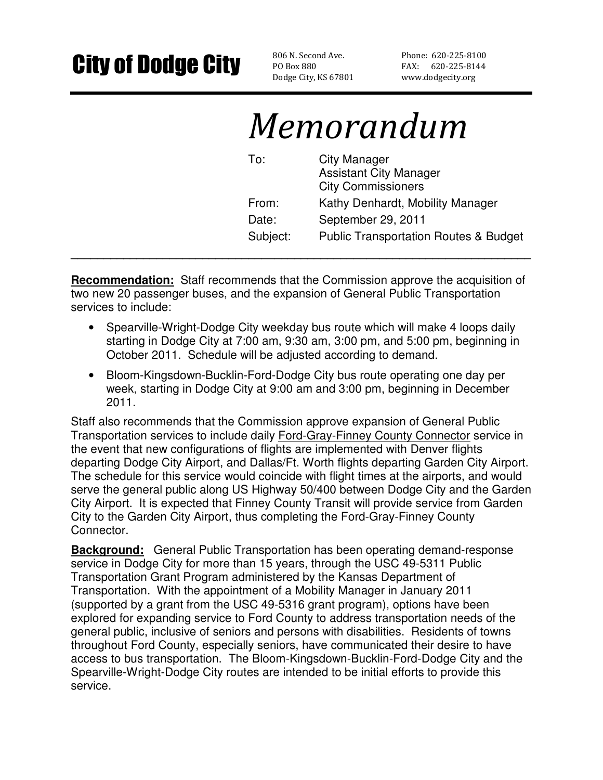### City of Dodge City BOB ON Second Ave.

PO Box 880 Dodge City, KS 67801 Phone: 620-225-8100 FAX: 620-225-8144 www.dodgecity.org

## Memorandum

| To:      | <b>City Manager</b><br><b>Assistant City Manager</b><br><b>City Commissioners</b> |
|----------|-----------------------------------------------------------------------------------|
| From:    | Kathy Denhardt, Mobility Manager                                                  |
| Date:    | September 29, 2011                                                                |
| Subject: | <b>Public Transportation Routes &amp; Budget</b>                                  |

**Recommendation:** Staff recommends that the Commission approve the acquisition of two new 20 passenger buses, and the expansion of General Public Transportation services to include:

**\_\_\_\_\_\_\_\_\_\_\_\_\_\_\_\_\_\_\_\_\_\_\_\_\_\_\_\_\_\_\_\_\_\_\_\_\_\_\_\_\_\_\_\_\_\_\_\_\_\_\_\_\_\_\_\_\_\_\_\_\_\_\_\_\_\_\_\_\_\_** 

- Spearville-Wright-Dodge City weekday bus route which will make 4 loops daily starting in Dodge City at 7:00 am, 9:30 am, 3:00 pm, and 5:00 pm, beginning in October 2011. Schedule will be adjusted according to demand.
- Bloom-Kingsdown-Bucklin-Ford-Dodge City bus route operating one day per week, starting in Dodge City at 9:00 am and 3:00 pm, beginning in December 2011.

Staff also recommends that the Commission approve expansion of General Public Transportation services to include daily Ford-Gray-Finney County Connector service in the event that new configurations of flights are implemented with Denver flights departing Dodge City Airport, and Dallas/Ft. Worth flights departing Garden City Airport. The schedule for this service would coincide with flight times at the airports, and would serve the general public along US Highway 50/400 between Dodge City and the Garden City Airport. It is expected that Finney County Transit will provide service from Garden City to the Garden City Airport, thus completing the Ford-Gray-Finney County Connector.

**Background:** General Public Transportation has been operating demand-response service in Dodge City for more than 15 years, through the USC 49-5311 Public Transportation Grant Program administered by the Kansas Department of Transportation. With the appointment of a Mobility Manager in January 2011 (supported by a grant from the USC 49-5316 grant program), options have been explored for expanding service to Ford County to address transportation needs of the general public, inclusive of seniors and persons with disabilities. Residents of towns throughout Ford County, especially seniors, have communicated their desire to have access to bus transportation. The Bloom-Kingsdown-Bucklin-Ford-Dodge City and the Spearville-Wright-Dodge City routes are intended to be initial efforts to provide this service.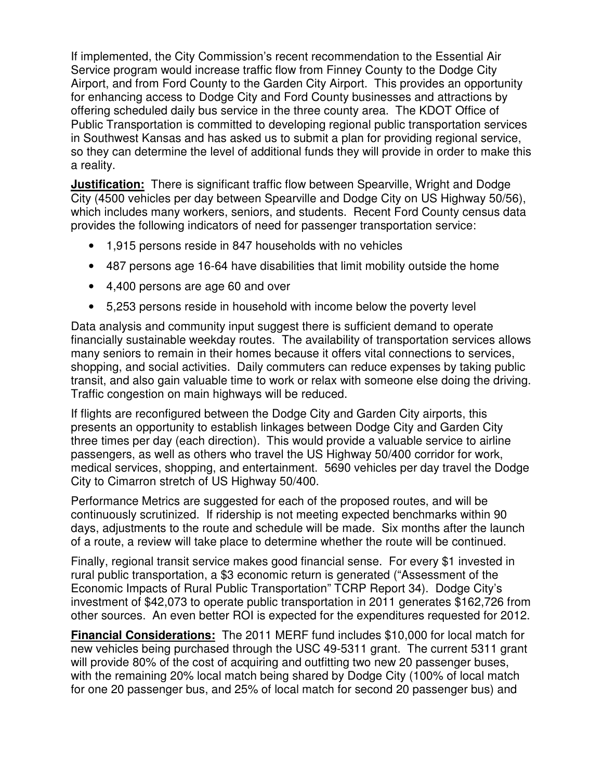If implemented, the City Commission's recent recommendation to the Essential Air Service program would increase traffic flow from Finney County to the Dodge City Airport, and from Ford County to the Garden City Airport. This provides an opportunity for enhancing access to Dodge City and Ford County businesses and attractions by offering scheduled daily bus service in the three county area. The KDOT Office of Public Transportation is committed to developing regional public transportation services in Southwest Kansas and has asked us to submit a plan for providing regional service, so they can determine the level of additional funds they will provide in order to make this a reality.

**Justification:** There is significant traffic flow between Spearville, Wright and Dodge City (4500 vehicles per day between Spearville and Dodge City on US Highway 50/56), which includes many workers, seniors, and students. Recent Ford County census data provides the following indicators of need for passenger transportation service:

- 1,915 persons reside in 847 households with no vehicles
- 487 persons age 16-64 have disabilities that limit mobility outside the home
- 4,400 persons are age 60 and over
- 5,253 persons reside in household with income below the poverty level

Data analysis and community input suggest there is sufficient demand to operate financially sustainable weekday routes. The availability of transportation services allows many seniors to remain in their homes because it offers vital connections to services, shopping, and social activities. Daily commuters can reduce expenses by taking public transit, and also gain valuable time to work or relax with someone else doing the driving. Traffic congestion on main highways will be reduced.

If flights are reconfigured between the Dodge City and Garden City airports, this presents an opportunity to establish linkages between Dodge City and Garden City three times per day (each direction). This would provide a valuable service to airline passengers, as well as others who travel the US Highway 50/400 corridor for work, medical services, shopping, and entertainment. 5690 vehicles per day travel the Dodge City to Cimarron stretch of US Highway 50/400.

Performance Metrics are suggested for each of the proposed routes, and will be continuously scrutinized. If ridership is not meeting expected benchmarks within 90 days, adjustments to the route and schedule will be made. Six months after the launch of a route, a review will take place to determine whether the route will be continued.

Finally, regional transit service makes good financial sense. For every \$1 invested in rural public transportation, a \$3 economic return is generated ("Assessment of the Economic Impacts of Rural Public Transportation" TCRP Report 34). Dodge City's investment of \$42,073 to operate public transportation in 2011 generates \$162,726 from other sources. An even better ROI is expected for the expenditures requested for 2012.

**Financial Considerations:** The 2011 MERF fund includes \$10,000 for local match for new vehicles being purchased through the USC 49-5311 grant. The current 5311 grant will provide 80% of the cost of acquiring and outfitting two new 20 passenger buses, with the remaining 20% local match being shared by Dodge City (100% of local match for one 20 passenger bus, and 25% of local match for second 20 passenger bus) and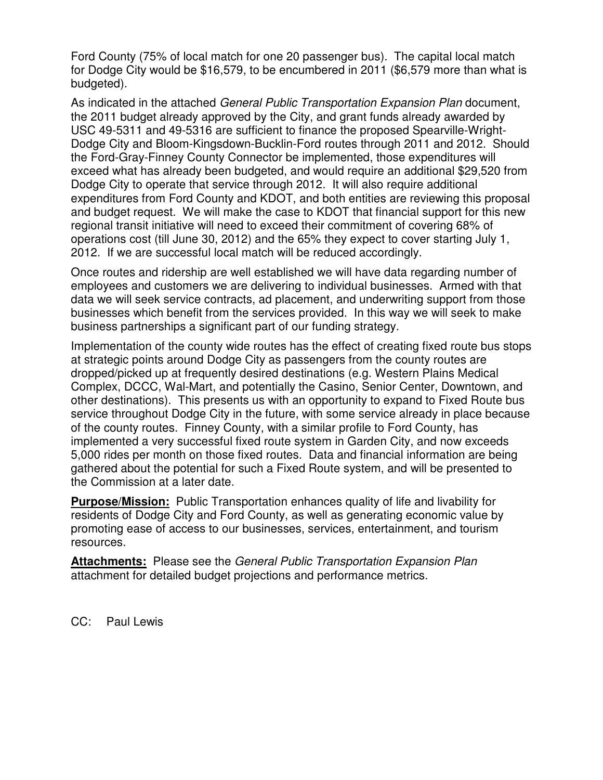Ford County (75% of local match for one 20 passenger bus). The capital local match for Dodge City would be \$16,579, to be encumbered in 2011 (\$6,579 more than what is budgeted).

As indicated in the attached General Public Transportation Expansion Plan document, the 2011 budget already approved by the City, and grant funds already awarded by USC 49-5311 and 49-5316 are sufficient to finance the proposed Spearville-Wright-Dodge City and Bloom-Kingsdown-Bucklin-Ford routes through 2011 and 2012. Should the Ford-Gray-Finney County Connector be implemented, those expenditures will exceed what has already been budgeted, and would require an additional \$29,520 from Dodge City to operate that service through 2012. It will also require additional expenditures from Ford County and KDOT, and both entities are reviewing this proposal and budget request. We will make the case to KDOT that financial support for this new regional transit initiative will need to exceed their commitment of covering 68% of operations cost (till June 30, 2012) and the 65% they expect to cover starting July 1, 2012. If we are successful local match will be reduced accordingly.

Once routes and ridership are well established we will have data regarding number of employees and customers we are delivering to individual businesses. Armed with that data we will seek service contracts, ad placement, and underwriting support from those businesses which benefit from the services provided. In this way we will seek to make business partnerships a significant part of our funding strategy.

Implementation of the county wide routes has the effect of creating fixed route bus stops at strategic points around Dodge City as passengers from the county routes are dropped/picked up at frequently desired destinations (e.g. Western Plains Medical Complex, DCCC, Wal-Mart, and potentially the Casino, Senior Center, Downtown, and other destinations). This presents us with an opportunity to expand to Fixed Route bus service throughout Dodge City in the future, with some service already in place because of the county routes. Finney County, with a similar profile to Ford County, has implemented a very successful fixed route system in Garden City, and now exceeds 5,000 rides per month on those fixed routes. Data and financial information are being gathered about the potential for such a Fixed Route system, and will be presented to the Commission at a later date.

**Purpose/Mission:** Public Transportation enhances quality of life and livability for residents of Dodge City and Ford County, as well as generating economic value by promoting ease of access to our businesses, services, entertainment, and tourism resources.

**Attachments:** Please see the General Public Transportation Expansion Plan attachment for detailed budget projections and performance metrics.

CC: Paul Lewis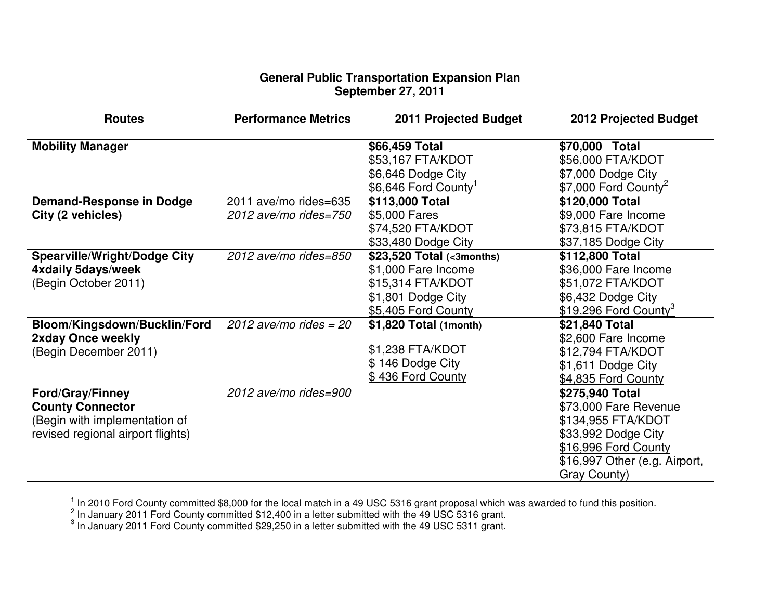### **General Public Transportation Expansion Plan September 27, 2011**

| <b>Routes</b>                                                                                                            | <b>Performance Metrics</b>                     | 2011 Projected Budget                                                                                              | <b>2012 Projected Budget</b>                                                                                                                                   |
|--------------------------------------------------------------------------------------------------------------------------|------------------------------------------------|--------------------------------------------------------------------------------------------------------------------|----------------------------------------------------------------------------------------------------------------------------------------------------------------|
| <b>Mobility Manager</b>                                                                                                  |                                                | \$66,459 Total<br>\$53,167 FTA/KDOT<br>\$6,646 Dodge City<br>\$6,646 Ford County <sup>1</sup>                      | \$70,000 Total<br>\$56,000 FTA/KDOT<br>\$7,000 Dodge City<br>$$7,000$ Ford County <sup>2</sup>                                                                 |
| <b>Demand-Response in Dodge</b><br>City (2 vehicles)                                                                     | 2011 ave/mo rides=635<br>2012 ave/mo rides=750 | \$113,000 Total<br>\$5,000 Fares<br>\$74,520 FTA/KDOT<br>\$33,480 Dodge City                                       | \$120,000 Total<br>\$9,000 Fare Income<br>\$73,815 FTA/KDOT<br>\$37,185 Dodge City                                                                             |
| <b>Spearville/Wright/Dodge City</b><br>4xdaily 5days/week<br>(Begin October 2011)                                        | 2012 ave/mo rides=850                          | \$23,520 Total (<3months)<br>\$1,000 Fare Income<br>\$15,314 FTA/KDOT<br>\$1,801 Dodge City<br>\$5,405 Ford County | \$112,800 Total<br>\$36,000 Fare Income<br>\$51,072 FTA/KDOT<br>\$6,432 Dodge City<br>\$19,296 Ford County <sup>3</sup>                                        |
| Bloom/Kingsdown/Bucklin/Ford<br>2xday Once weekly<br>(Begin December 2011)                                               | 2012 ave/mo rides = $20$                       | \$1,820 Total (1month)<br>\$1,238 FTA/KDOT<br>\$146 Dodge City<br>\$436 Ford County                                | \$21,840 Total<br>\$2,600 Fare Income<br>\$12,794 FTA/KDOT<br>\$1,611 Dodge City<br>\$4,835 Ford County                                                        |
| <b>Ford/Gray/Finney</b><br><b>County Connector</b><br>(Begin with implementation of<br>revised regional airport flights) | 2012 ave/mo rides=900                          |                                                                                                                    | \$275,940 Total<br>\$73,000 Fare Revenue<br>\$134,955 FTA/KDOT<br>\$33,992 Dodge City<br>\$16,996 Ford County<br>\$16,997 Other (e.g. Airport,<br>Gray County) |

In 2010 Ford County committed \$8,000 for the local match in a 49 USC 5316 grant proposal which was awarded to fund this position.<br>
<sup>2</sup> In January 2011 Ford County committed \$12,400 in a letter submitted with the 49 USC 53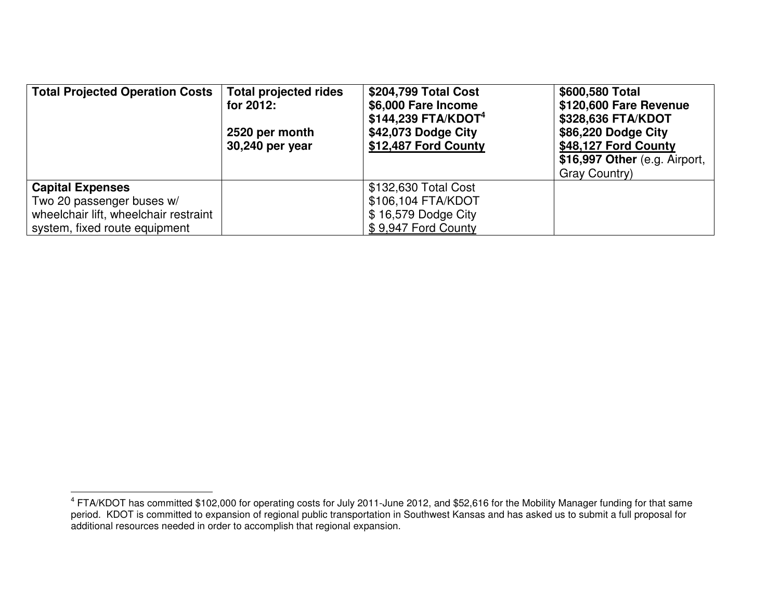| <b>Total Projected Operation Costs</b> | <b>Total projected rides</b><br>for 2012:<br>2520 per month<br>30,240 per year | \$204,799 Total Cost<br>\$6,000 Fare Income<br>$$144,239$ FTA/KDOT <sup>4</sup><br>\$42,073 Dodge City<br>\$12,487 Ford County | \$600,580 Total<br>\$120,600 Fare Revenue<br>\$328,636 FTA/KDOT<br>\$86,220 Dodge City<br>\$48,127 Ford County<br>\$16,997 Other (e.g. Airport,<br>Gray Country) |
|----------------------------------------|--------------------------------------------------------------------------------|--------------------------------------------------------------------------------------------------------------------------------|------------------------------------------------------------------------------------------------------------------------------------------------------------------|
| <b>Capital Expenses</b>                |                                                                                | \$132,630 Total Cost                                                                                                           |                                                                                                                                                                  |
| Two 20 passenger buses w/              |                                                                                | \$106,104 FTA/KDOT                                                                                                             |                                                                                                                                                                  |
| wheelchair lift, wheelchair restraint  |                                                                                | \$16,579 Dodge City                                                                                                            |                                                                                                                                                                  |
| system, fixed route equipment          |                                                                                | \$9,947 Ford County                                                                                                            |                                                                                                                                                                  |

<sup>&</sup>lt;sup>4</sup> FTA/KDOT has committed \$102,000 for operating costs for July 2011-June 2012, and \$52,616 for the Mobility Manager funding for that same<br>period. KDOT is committed to expansion of regional public transportation in Southw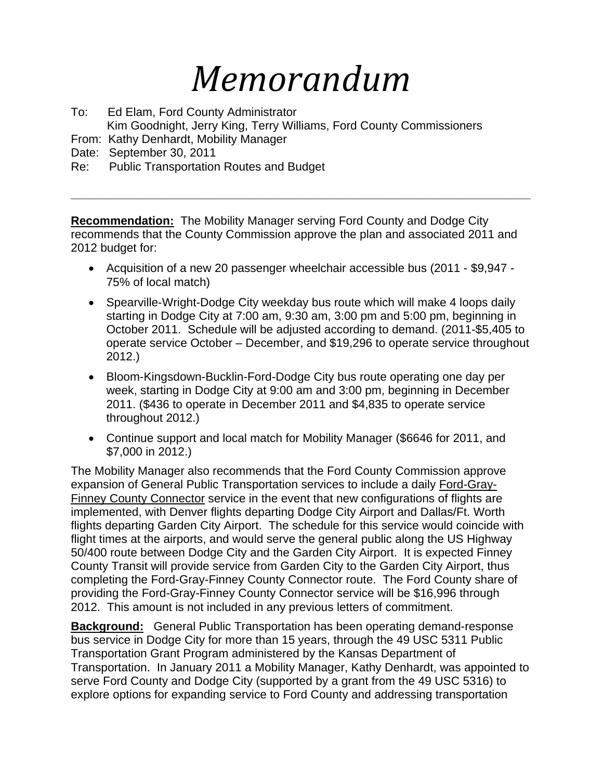# *Memorandum*

To: Ed Elam, Ford County Administrator Kim Goodnight, Jerry King, Terry Williams, Ford County Commissioners

- From: Kathy Denhardt, Mobility Manager
- Date: September 30, 2011
- Re: Public Transportation Routes and Budget

**Recommendation:** The Mobility Manager serving Ford County and Dodge City recommends that the County Commission approve the plan and associated 2011 and 2012 budget for:

**\_\_\_\_\_\_\_\_\_\_\_\_\_\_\_\_\_\_\_\_\_\_\_\_\_\_\_\_\_\_\_\_\_\_\_\_\_\_\_\_\_\_\_\_\_\_\_\_\_\_\_\_\_\_\_\_\_\_\_\_\_\_\_\_\_\_\_\_\_\_** 

- Acquisition of a new 20 passenger wheelchair accessible bus (2011 \$9,947 75% of local match)
- Spearville-Wright-Dodge City weekday bus route which will make 4 loops daily starting in Dodge City at 7:00 am, 9:30 am, 3:00 pm and 5:00 pm, beginning in October 2011. Schedule will be adjusted according to demand. (2011-\$5,405 to operate service October – December, and \$19,296 to operate service throughout 2012.)
- Bloom-Kingsdown-Bucklin-Ford-Dodge City bus route operating one day per week, starting in Dodge City at 9:00 am and 3:00 pm, beginning in December 2011. (\$436 to operate in December 2011 and \$4,835 to operate service throughout 2012.)
- Continue support and local match for Mobility Manager (\$6646 for 2011, and \$7,000 in 2012.)

The Mobility Manager also recommends that the Ford County Commission approve expansion of General Public Transportation services to include a daily Ford-Gray-Finney County Connector service in the event that new configurations of flights are implemented, with Denver flights departing Dodge City Airport and Dallas/Ft. Worth flights departing Garden City Airport. The schedule for this service would coincide with flight times at the airports, and would serve the general public along the US Highway 50/400 route between Dodge City and the Garden City Airport. It is expected Finney County Transit will provide service from Garden City to the Garden City Airport, thus completing the Ford-Gray-Finney County Connector route. The Ford County share of providing the Ford-Gray-Finney County Connector service will be \$16,996 through 2012. This amount is not included in any previous letters of commitment.

**Background:** General Public Transportation has been operating demand-response bus service in Dodge City for more than 15 years, through the 49 USC 5311 Public Transportation Grant Program administered by the Kansas Department of Transportation. In January 2011 a Mobility Manager, Kathy Denhardt, was appointed to serve Ford County and Dodge City (supported by a grant from the 49 USC 5316) to explore options for expanding service to Ford County and addressing transportation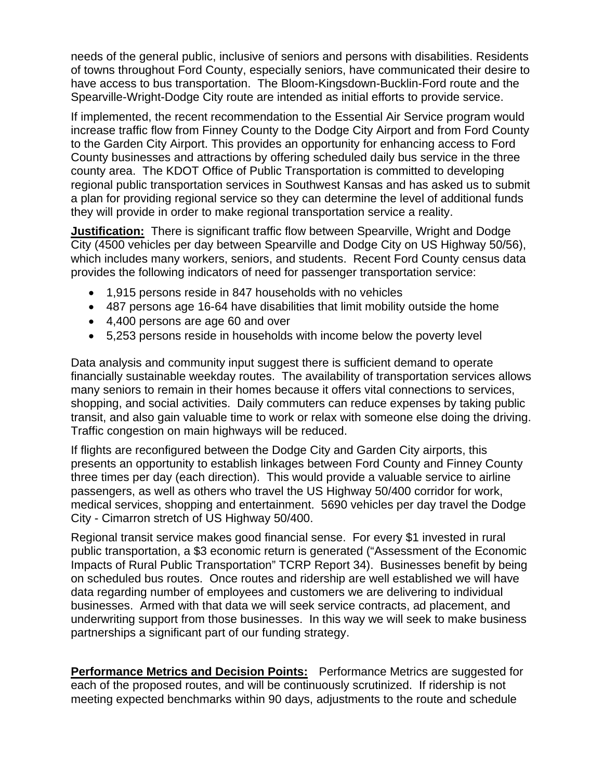needs of the general public, inclusive of seniors and persons with disabilities. Residents of towns throughout Ford County, especially seniors, have communicated their desire to have access to bus transportation. The Bloom-Kingsdown-Bucklin-Ford route and the Spearville-Wright-Dodge City route are intended as initial efforts to provide service.

If implemented, the recent recommendation to the Essential Air Service program would increase traffic flow from Finney County to the Dodge City Airport and from Ford County to the Garden City Airport. This provides an opportunity for enhancing access to Ford County businesses and attractions by offering scheduled daily bus service in the three county area. The KDOT Office of Public Transportation is committed to developing regional public transportation services in Southwest Kansas and has asked us to submit a plan for providing regional service so they can determine the level of additional funds they will provide in order to make regional transportation service a reality.

**Justification:** There is significant traffic flow between Spearville, Wright and Dodge City (4500 vehicles per day between Spearville and Dodge City on US Highway 50/56), which includes many workers, seniors, and students. Recent Ford County census data provides the following indicators of need for passenger transportation service:

- 1,915 persons reside in 847 households with no vehicles
- 487 persons age 16-64 have disabilities that limit mobility outside the home
- 4,400 persons are age 60 and over
- 5,253 persons reside in households with income below the poverty level

Data analysis and community input suggest there is sufficient demand to operate financially sustainable weekday routes. The availability of transportation services allows many seniors to remain in their homes because it offers vital connections to services, shopping, and social activities. Daily commuters can reduce expenses by taking public transit, and also gain valuable time to work or relax with someone else doing the driving. Traffic congestion on main highways will be reduced.

If flights are reconfigured between the Dodge City and Garden City airports, this presents an opportunity to establish linkages between Ford County and Finney County three times per day (each direction). This would provide a valuable service to airline passengers, as well as others who travel the US Highway 50/400 corridor for work, medical services, shopping and entertainment. 5690 vehicles per day travel the Dodge City - Cimarron stretch of US Highway 50/400.

Regional transit service makes good financial sense. For every \$1 invested in rural public transportation, a \$3 economic return is generated ("Assessment of the Economic Impacts of Rural Public Transportation" TCRP Report 34). Businesses benefit by being on scheduled bus routes. Once routes and ridership are well established we will have data regarding number of employees and customers we are delivering to individual businesses. Armed with that data we will seek service contracts, ad placement, and underwriting support from those businesses. In this way we will seek to make business partnerships a significant part of our funding strategy.

**Performance Metrics and Decision Points:** Performance Metrics are suggested for each of the proposed routes, and will be continuously scrutinized. If ridership is not meeting expected benchmarks within 90 days, adjustments to the route and schedule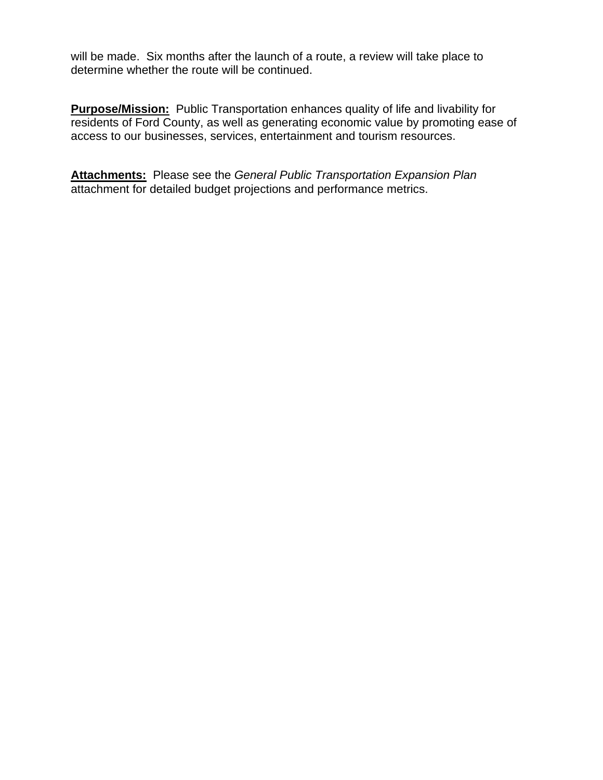will be made. Six months after the launch of a route, a review will take place to determine whether the route will be continued.

**Purpose/Mission:** Public Transportation enhances quality of life and livability for residents of Ford County, as well as generating economic value by promoting ease of access to our businesses, services, entertainment and tourism resources.

**Attachments:** Please see the *General Public Transportation Expansion Plan* attachment for detailed budget projections and performance metrics.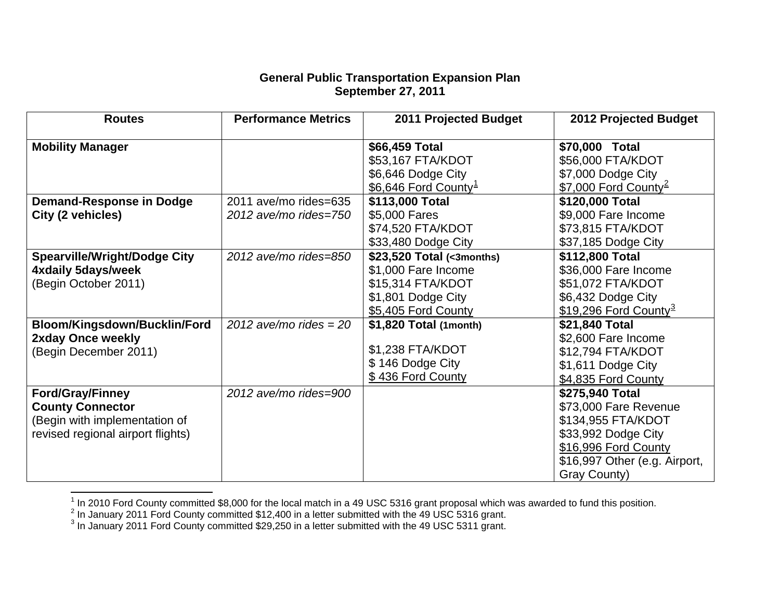#### **General Public Transportation Expansion Plan September 27, 2011**

| <b>Routes</b>                       | <b>Performance Metrics</b> | 2011 Projected Budget            | 2012 Projected Budget             |
|-------------------------------------|----------------------------|----------------------------------|-----------------------------------|
| <b>Mobility Manager</b>             |                            | \$66,459 Total                   | \$70,000 Total                    |
|                                     |                            | \$53,167 FTA/KDOT                | \$56,000 FTA/KDOT                 |
|                                     |                            | \$6,646 Dodge City               | \$7,000 Dodge City                |
|                                     |                            | \$6,646 Ford County <sup>1</sup> | \$7,000 Ford County <sup>2</sup>  |
| <b>Demand-Response in Dodge</b>     | 2011 ave/mo rides=635      | \$113,000 Total                  | \$120,000 Total                   |
| City (2 vehicles)                   | 2012 ave/mo rides=750      | \$5,000 Fares                    | \$9,000 Fare Income               |
|                                     |                            | \$74,520 FTA/KDOT                | \$73,815 FTA/KDOT                 |
|                                     |                            | \$33,480 Dodge City              | \$37,185 Dodge City               |
| <b>Spearville/Wright/Dodge City</b> | 2012 ave/mo rides=850      | \$23,520 Total (<3months)        | \$112,800 Total                   |
| 4xdaily 5days/week                  |                            | \$1,000 Fare Income              | \$36,000 Fare Income              |
| (Begin October 2011)                |                            | \$15,314 FTA/KDOT                | \$51,072 FTA/KDOT                 |
|                                     |                            | \$1,801 Dodge City               | \$6,432 Dodge City                |
|                                     |                            | \$5,405 Ford County              | \$19,296 Ford County <sup>3</sup> |
| Bloom/Kingsdown/Bucklin/Ford        | 2012 ave/mo rides $=$ 20   | \$1,820 Total (1month)           | \$21,840 Total                    |
| 2xday Once weekly                   |                            |                                  | \$2,600 Fare Income               |
| (Begin December 2011)               |                            | \$1,238 FTA/KDOT                 | \$12,794 FTA/KDOT                 |
|                                     |                            | \$146 Dodge City                 | \$1,611 Dodge City                |
|                                     |                            | \$436 Ford County                | \$4,835 Ford County               |
| <b>Ford/Gray/Finney</b>             | 2012 ave/mo rides=900      |                                  | \$275,940 Total                   |
| <b>County Connector</b>             |                            |                                  | \$73,000 Fare Revenue             |
| (Begin with implementation of       |                            |                                  | \$134,955 FTA/KDOT                |
| revised regional airport flights)   |                            |                                  | \$33,992 Dodge City               |
|                                     |                            |                                  | \$16,996 Ford County              |
|                                     |                            |                                  | \$16,997 Other (e.g. Airport,     |
|                                     |                            |                                  | Gray County)                      |

<span id="page-9-1"></span><span id="page-9-0"></span><sup>&</sup>lt;sup>1</sup> In 2010 Ford County committed \$8,000 for the local match in a 49 USC 5316 grant proposal which was awarded to fund this position.<br><sup>2</sup> In January 2011 Ford County committed \$12,400 in a letter submitted with the 49 USC

<span id="page-9-2"></span>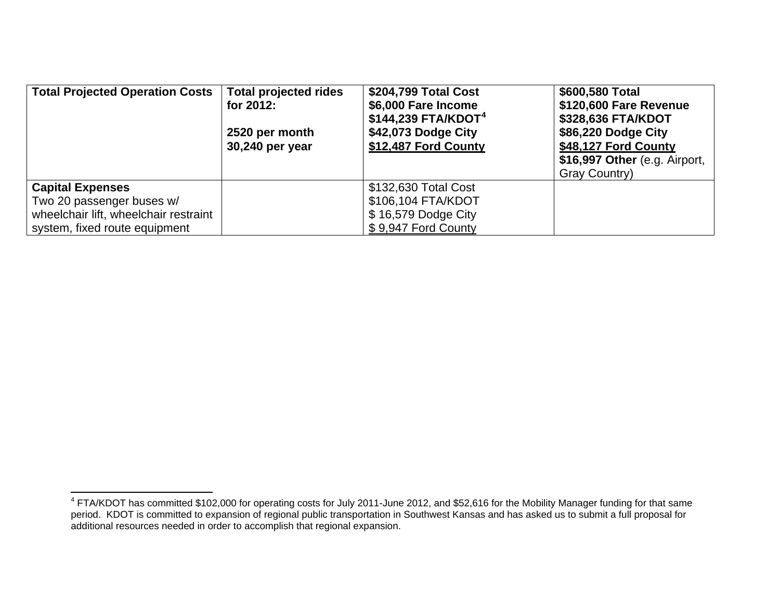| <b>Total Projected Operation Costs</b> | <b>Total projected rides</b><br>for 2012:<br>2520 per month<br>30,240 per year | \$204,799 Total Cost<br>\$6,000 Fare Income<br>$$144,239$ FTA/KDOT <sup>4</sup><br>\$42,073 Dodge City<br>\$12,487 Ford County | \$600,580 Total<br>\$120,600 Fare Revenue<br>\$328,636 FTA/KDOT<br>\$86,220 Dodge City<br>\$48,127 Ford County<br>\$16,997 Other (e.g. Airport,<br>Gray Country) |
|----------------------------------------|--------------------------------------------------------------------------------|--------------------------------------------------------------------------------------------------------------------------------|------------------------------------------------------------------------------------------------------------------------------------------------------------------|
| <b>Capital Expenses</b>                |                                                                                | \$132,630 Total Cost                                                                                                           |                                                                                                                                                                  |
| Two 20 passenger buses w/              |                                                                                | \$106,104 FTA/KDOT                                                                                                             |                                                                                                                                                                  |
| wheelchair lift, wheelchair restraint  |                                                                                | \$16,579 Dodge City                                                                                                            |                                                                                                                                                                  |
| system, fixed route equipment          |                                                                                | \$9,947 Ford County                                                                                                            |                                                                                                                                                                  |

<span id="page-10-0"></span> $^4$  FTA/KDOT has committed \$102,000 for operating costs for July 2011-June 2012, and \$52,616 for the Mobility Manager funding for that same period. KDOT is committed to expansion of regional public transportation in Southwest Kansas and has asked us to submit a full proposal for additional resources needed in order to accomplish that regional expansion.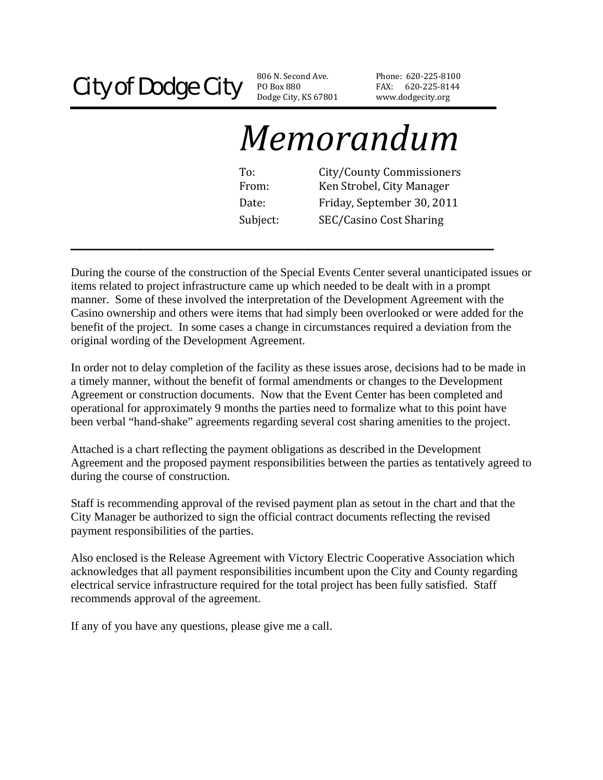### City of Dodge City BOBOX 880

PO Box 880 Dodge City, KS 67801

Phone: 620‐225‐81 00 FAX: 620-225-8144 www.dodgecity.org

# *Memorandum*

To: City/County Commissioners Date: Friday, September 30, 2011 From: Ken Strobel, City Manager Subject: SEC/Casino Cost Sharing

During the course of the construction of the Special Events Center several unanticipated issues or items related to project infrastructure came up which needed to be dealt with in a prompt manner. Some of these involved the interpretation of the Development Agreement with the Casino ownership and others were items that had simply been overlooked or were added for the benefit of the project. In some cases a change in circumstances required a deviation from the original wording of the Development Agreement.

**\_\_\_\_\_\_\_\_\_\_\_\_\_\_\_\_\_\_\_\_\_\_\_\_\_\_\_\_\_\_\_\_\_\_\_\_\_\_\_\_\_\_\_** 

In order not to delay completion of the facility as these issues arose, decisions had to be made in a timely manner, without the benefit of formal amendments or changes to the Development Agreement or construction documents. Now that the Event Center has been completed and operational for approximately 9 months the parties need to formalize what to this point have been verbal "hand-shake" agreements regarding several cost sharing amenities to the project.

Attached is a chart reflecting the payment obligations as described in the Development Agreement and the proposed payment responsibilities between the parties as tentatively agreed to during the course of construction.

Staff is recommending approval of the revised payment plan as setout in the chart and that the City Manager be authorized to sign the official contract documents reflecting the revised payment responsibilities of the parties.

Also enclosed is the Release Agreement with Victory Electric Cooperative Association which acknowledges that all payment responsibilities incumbent upon the City and County regarding electrical service infrastructure required for the total project has been fully satisfied. Staff recommends approval of the agreement.

If any of you have any questions, please give me a call.